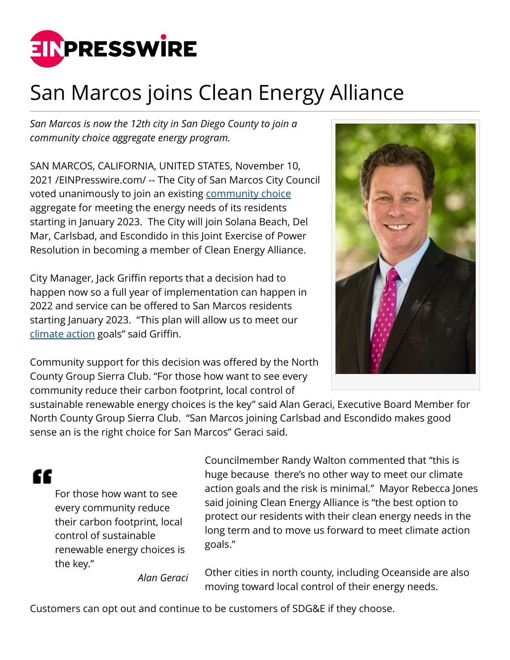

## San Marcos joins Clean Energy Alliance

*San Marcos is now the 12th city in San Diego County to join a community choice aggregate energy program.*

SAN MARCOS, CALIFORNIA, UNITED STATES, November 10, 2021 /[EINPresswire.com](http://www.einpresswire.com)/ -- The City of San Marcos City Council voted unanimously to join an existing [community choice](http://sierraclubncg.org) aggregate for meeting the energy needs of its residents starting in January 2023. The City will join Solana Beach, Del Mar, Carlsbad, and Escondido in this Joint Exercise of Power Resolution in becoming a member of Clean Energy Alliance.

City Manager, Jack Griffin reports that a decision had to happen now so a full year of implementation can happen in 2022 and service can be offered to San Marcos residents starting January 2023. "This plan will allow us to meet our [climate action](http://san-marcos.net) goals" said Griffin.

Community support for this decision was offered by the North County Group Sierra Club. "For those how want to see every community reduce their carbon footprint, local control of



sustainable renewable energy choices is the key" said Alan Geraci, Executive Board Member for North County Group Sierra Club. "San Marcos joining Carlsbad and Escondido makes good sense an is the right choice for San Marcos" Geraci said.

"

For those how want to see every community reduce their carbon footprint, local control of sustainable renewable energy choices is the key."

Councilmember Randy Walton commented that "this is huge because there's no other way to meet our climate action goals and the risk is minimal." Mayor Rebecca Jones said joining Clean Energy Alliance is "the best option to protect our residents with their clean energy needs in the long term and to move us forward to meet climate action goals."

*Alan Geraci*

Other cities in north county, including Oceanside are also moving toward local control of their energy needs.

Customers can opt out and continue to be customers of SDG&E if they choose.